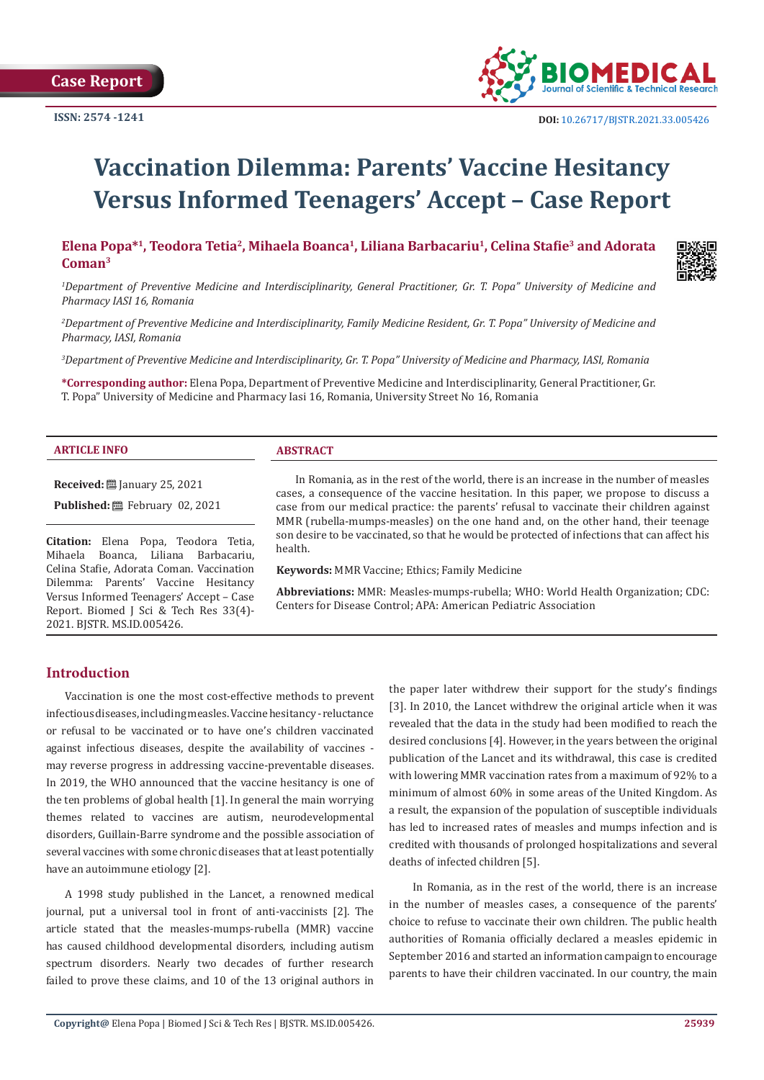**Case Report**



 **DOI:** [10.26717/BJSTR.2021.33.0054](http://dx.doi.org/10.26717/BJSTR.2021.33.005426)26

# **Vaccination Dilemma: Parents' Vaccine Hesitancy Versus Informed Teenagers' Accept – Case Report**

**Elena Popa\*1, Teodora Tetia2, Mihaela Boanca1, Liliana Barbacariu1, Celina Stafie3 and Adorata Coman3**



<sup>1</sup>Department of Preventive Medicine and Interdisciplinarity, General Practitioner, Gr. T. Popa" University of Medicine and *Pharmacy IASI 16, Romania* 

*2 Department of Preventive Medicine and Interdisciplinarity, Family Medicine Resident, Gr. T. Popa" University of Medicine and Pharmacy, IASI, Romania*

*3 Department of Preventive Medicine and Interdisciplinarity, Gr. T. Popa" University of Medicine and Pharmacy, IASI, Romania*

**\*Corresponding author:** Elena Popa, Department of Preventive Medicine and Interdisciplinarity, General Practitioner, Gr. T. Popa" University of Medicine and Pharmacy Iasi 16, Romania, University Street No 16, Romania

#### **ARTICLE INFO ABSTRACT**

**Received:** January 25, 2021

**Published:** 巴 February 02, 2021

**Citation:** Elena Popa, Teodora Tetia, Mihaela Boanca, Liliana Barbacariu, Celina Stafie, Adorata Coman. Vaccination Dilemma: Parents' Vaccine Hesitancy Versus Informed Teenagers' Accept – Case Report. Biomed J Sci & Tech Res 33(4)- 2021. BJSTR. MS.ID.005426.

In Romania, as in the rest of the world, there is an increase in the number of measles cases, a consequence of the vaccine hesitation. In this paper, we propose to discuss a case from our medical practice: the parents' refusal to vaccinate their children against MMR (rubella-mumps-measles) on the one hand and, on the other hand, their teenage son desire to be vaccinated, so that he would be protected of infections that can affect his health.

**Keywords:** MMR Vaccine; Ethics; Family Medicine

**Abbreviations:** MMR: Measles-mumps-rubella; WHO: World Health Organization; CDC: Centers for Disease Control; APA: American Pediatric Association

# **Introduction**

Vaccination is one the most cost-effective methods to prevent infectious diseases, including measles. Vaccine hesitancy - reluctance or refusal to be vaccinated or to have one's children vaccinated against infectious diseases, despite the availability of vaccines may reverse progress in addressing vaccine-preventable diseases. In 2019, the WHO announced that the vaccine hesitancy is one of the ten problems of global health [1]. In general the main worrying themes related to vaccines are autism, neurodevelopmental disorders, Guillain-Barre syndrome and the possible association of several vaccines with some chronic diseases that at least potentially have an autoimmune etiology [2].

A 1998 study published in the Lancet, a renowned medical journal, put a universal tool in front of anti-vaccinists [2]. The article stated that the measles-mumps-rubella (MMR) vaccine has caused childhood developmental disorders, including autism spectrum disorders. Nearly two decades of further research failed to prove these claims, and 10 of the 13 original authors in

the paper later withdrew their support for the study's findings [3]. In 2010, the Lancet withdrew the original article when it was revealed that the data in the study had been modified to reach the desired conclusions [4]. However, in the years between the original publication of the Lancet and its withdrawal, this case is credited with lowering MMR vaccination rates from a maximum of 92% to a minimum of almost 60% in some areas of the United Kingdom. As a result, the expansion of the population of susceptible individuals has led to increased rates of measles and mumps infection and is credited with thousands of prolonged hospitalizations and several deaths of infected children [5].

 In Romania, as in the rest of the world, there is an increase in the number of measles cases, a consequence of the parents' choice to refuse to vaccinate their own children. The public health authorities of Romania officially declared a measles epidemic in September 2016 and started an information campaign to encourage parents to have their children vaccinated. In our country, the main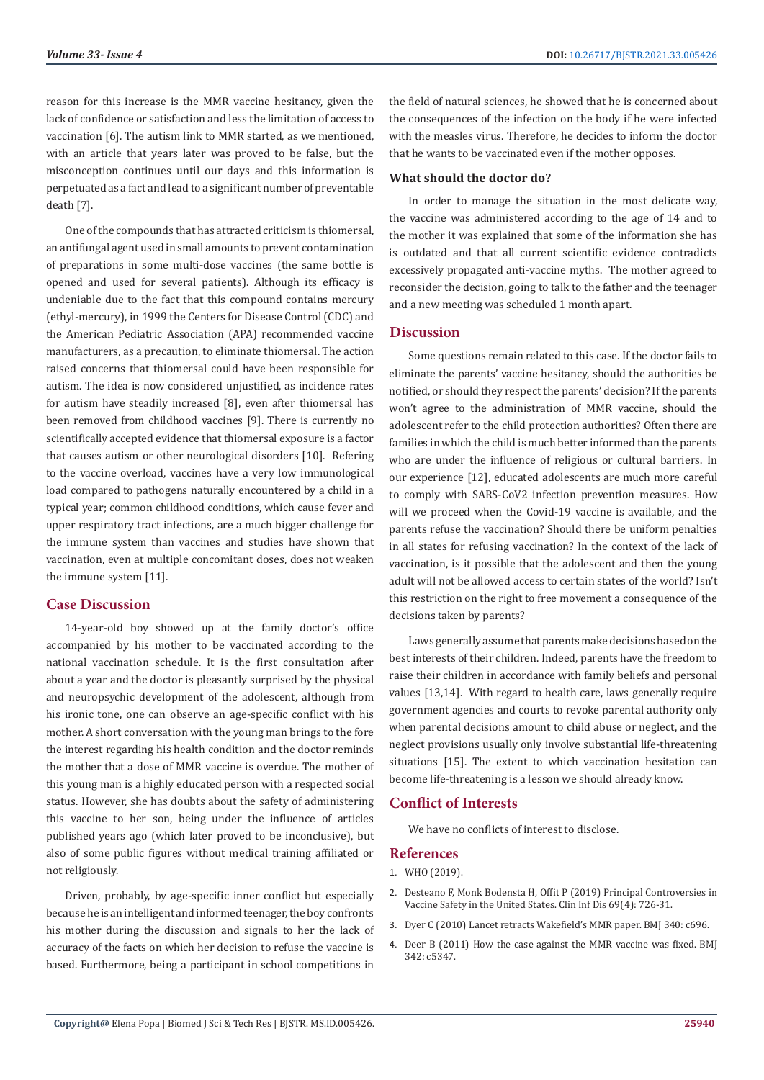reason for this increase is the MMR vaccine hesitancy, given the lack of confidence or satisfaction and less the limitation of access to vaccination [6]. The autism link to MMR started, as we mentioned, with an article that years later was proved to be false, but the misconception continues until our days and this information is perpetuated as a fact and lead to a significant number of preventable death [7].

One of the compounds that has attracted criticism is thiomersal, an antifungal agent used in small amounts to prevent contamination of preparations in some multi-dose vaccines (the same bottle is opened and used for several patients). Although its efficacy is undeniable due to the fact that this compound contains mercury (ethyl-mercury), in 1999 the Centers for Disease Control (CDC) and the American Pediatric Association (APA) recommended vaccine manufacturers, as a precaution, to eliminate thiomersal. The action raised concerns that thiomersal could have been responsible for autism. The idea is now considered unjustified, as incidence rates for autism have steadily increased [8], even after thiomersal has been removed from childhood vaccines [9]. There is currently no scientifically accepted evidence that thiomersal exposure is a factor that causes autism or other neurological disorders [10]. Refering to the vaccine overload, vaccines have a very low immunological load compared to pathogens naturally encountered by a child in a typical year; common childhood conditions, which cause fever and upper respiratory tract infections, are a much bigger challenge for the immune system than vaccines and studies have shown that vaccination, even at multiple concomitant doses, does not weaken the immune system [11].

# **Case Discussion**

14-year-old boy showed up at the family doctor's office accompanied by his mother to be vaccinated according to the national vaccination schedule. It is the first consultation after about a year and the doctor is pleasantly surprised by the physical and neuropsychic development of the adolescent, although from his ironic tone, one can observe an age-specific conflict with his mother. A short conversation with the young man brings to the fore the interest regarding his health condition and the doctor reminds the mother that a dose of MMR vaccine is overdue. The mother of this young man is a highly educated person with a respected social status. However, she has doubts about the safety of administering this vaccine to her son, being under the influence of articles published years ago (which later proved to be inconclusive), but also of some public figures without medical training affiliated or not religiously.

Driven, probably, by age-specific inner conflict but especially because he is an intelligent and informed teenager, the boy confronts his mother during the discussion and signals to her the lack of accuracy of the facts on which her decision to refuse the vaccine is based. Furthermore, being a participant in school competitions in

the field of natural sciences, he showed that he is concerned about the consequences of the infection on the body if he were infected with the measles virus. Therefore, he decides to inform the doctor that he wants to be vaccinated even if the mother opposes.

# **What should the doctor do?**

In order to manage the situation in the most delicate way, the vaccine was administered according to the age of 14 and to the mother it was explained that some of the information she has is outdated and that all current scientific evidence contradicts excessively propagated anti-vaccine myths. The mother agreed to reconsider the decision, going to talk to the father and the teenager and a new meeting was scheduled 1 month apart.

### **Discussion**

Some questions remain related to this case. If the doctor fails to eliminate the parents' vaccine hesitancy, should the authorities be notified, or should they respect the parents' decision? If the parents won't agree to the administration of MMR vaccine, should the adolescent refer to the child protection authorities? Often there are families in which the child is much better informed than the parents who are under the influence of religious or cultural barriers. In our experience [12], educated adolescents are much more careful to comply with SARS-CoV2 infection prevention measures. How will we proceed when the Covid-19 vaccine is available, and the parents refuse the vaccination? Should there be uniform penalties in all states for refusing vaccination? In the context of the lack of vaccination, is it possible that the adolescent and then the young adult will not be allowed access to certain states of the world? Isn't this restriction on the right to free movement a consequence of the decisions taken by parents?

Laws generally assume that parents make decisions based on the best interests of their children. Indeed, parents have the freedom to raise their children in accordance with family beliefs and personal values [13,14]. With regard to health care, laws generally require government agencies and courts to revoke parental authority only when parental decisions amount to child abuse or neglect, and the neglect provisions usually only involve substantial life-threatening situations [15]. The extent to which vaccination hesitation can become life-threatening is a lesson we should already know.

# **Conflict of Interests**

We have no conflicts of interest to disclose.

#### **References**

1. [WHO \(2019\).](https://www.who.int/news-room/spotlight/ten-threats-to-global-health-in-2019)

- 2. [Desteano F, Monk Bodensta H, Offit P \(2019\) Principal Controversies in](https://pubmed.ncbi.nlm.nih.gov/30753348/) [Vaccine Safety in the United States. Clin Inf Dis 69\(4\): 726-31.](https://pubmed.ncbi.nlm.nih.gov/30753348/)
- 3. [Dyer C \(2010\) Lancet retracts Wakefield's MMR paper. BMJ 340: c696.](https://pubmed.ncbi.nlm.nih.gov/20124366/)
- 4. [Deer B \(2011\) How the case against the MMR vaccine was fixed. BMJ](https://pubmed.ncbi.nlm.nih.gov/21209059/) [342: c5347.](https://pubmed.ncbi.nlm.nih.gov/21209059/)